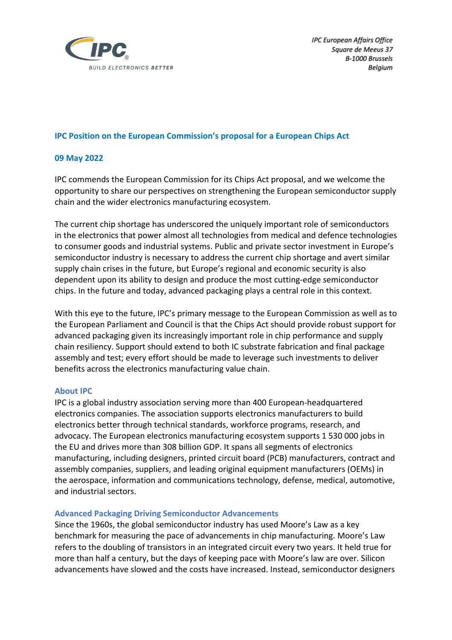

**IPC European Affairs Office** Square de Meeus 37 B-1000 Brussels Belgium

### **IPC Position on the European Commission's proposal for a European Chips Act**

## **09 May 2022**

IPC commends the European Commission for its Chips Act proposal, and we welcome the opportunity to share our perspectives on strengthening the European semiconductor supply chain and the wider electronics manufacturing ecosystem.

The current chip shortage has underscored the uniquely important role of semiconductors in the electronics that power almost all technologies from medical and defence technologies to consumer goods and industrial systems. Public and private sector investment in Europe's semiconductor industry is necessary to address the current chip shortage and avert similar supply chain crises in the future, but Europe's regional and economic security is also dependent upon its ability to design and produce the most cutting-edge semiconductor chips. In the future and today, advanced packaging plays a central role in this context.

With this eye to the future, IPC's primary message to the European Commission as well as to the European Parliament and Council is that the Chips Act should provide robust support for advanced packaging given its increasingly important role in chip performance and supply chain resiliency. Support should extend to both IC substrate fabrication and final package assembly and test; every effort should be made to leverage such investments to deliver benefits across the electronics manufacturing value chain.

#### **About IPC**

IPC is a global industry association serving more than 400 European-headquartered electronics companies. The association supports electronics manufacturers to build electronics better through technical standards, workforce programs, research, and advocacy. The European electronics manufacturing ecosystem supports 1 530 000 jobs in the EU and drives more than 308 billion GDP. It spans all segments of electronics manufacturing, including designers, printed circuit board (PCB) manufacturers, contract and assembly companies, suppliers, and leading original equipment manufacturers (OEMs) in the aerospace, information and communications technology, defense, medical, automotive, and industrial sectors.

#### **Advanced Packaging Driving Semiconductor Advancements**

Since the 1960s, the global semiconductor industry has used Moore's Law as a key benchmark for measuring the pace of advancements in chip manufacturing. Moore's Law refers to the doubling of transistors in an integrated circuit every two years. It held true for more than half a century, but the days of keeping pace with Moore's law are over. Silicon advancements have slowed and the costs have increased. Instead, semiconductor designers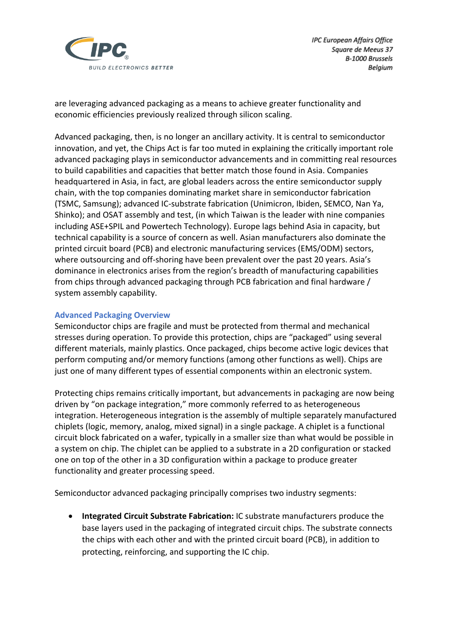

are leveraging advanced packaging as a means to achieve greater functionality and economic efficiencies previously realized through silicon scaling.

Advanced packaging, then, is no longer an ancillary activity. It is central to semiconductor innovation, and yet, the Chips Act is far too muted in explaining the critically important role advanced packaging plays in semiconductor advancements and in committing real resources to build capabilities and capacities that better match those found in Asia. Companies headquartered in Asia, in fact, are global leaders across the entire semiconductor supply chain, with the top companies dominating market share in semiconductor fabrication (TSMC, Samsung); advanced IC-substrate fabrication (Unimicron, Ibiden, SEMCO, Nan Ya, Shinko); and OSAT assembly and test, (in which Taiwan is the leader with nine companies including ASE+SPIL and Powertech Technology). Europe lags behind Asia in capacity, but technical capability is a source of concern as well. Asian manufacturers also dominate the printed circuit board (PCB) and electronic manufacturing services (EMS/ODM) sectors, where outsourcing and off-shoring have been prevalent over the past 20 years. Asia's dominance in electronics arises from the region's breadth of manufacturing capabilities from chips through advanced packaging through PCB fabrication and final hardware / system assembly capability.

## **Advanced Packaging Overview**

Semiconductor chips are fragile and must be protected from thermal and mechanical stresses during operation. To provide this protection, chips are "packaged" using several different materials, mainly plastics. Once packaged, chips become active logic devices that perform computing and/or memory functions (among other functions as well). Chips are just one of many different types of essential components within an electronic system.

Protecting chips remains critically important, but advancements in packaging are now being driven by "on package integration," more commonly referred to as heterogeneous integration. Heterogeneous integration is the assembly of multiple separately manufactured chiplets (logic, memory, analog, mixed signal) in a single package. A chiplet is a functional circuit block fabricated on a wafer, typically in a smaller size than what would be possible in a system on chip. The chiplet can be applied to a substrate in a 2D configuration or stacked one on top of the other in a 3D configuration within a package to produce greater functionality and greater processing speed.

Semiconductor advanced packaging principally comprises two industry segments:

• **Integrated Circuit Substrate Fabrication:** IC substrate manufacturers produce the base layers used in the packaging of integrated circuit chips. The substrate connects the chips with each other and with the printed circuit board (PCB), in addition to protecting, reinforcing, and supporting the IC chip.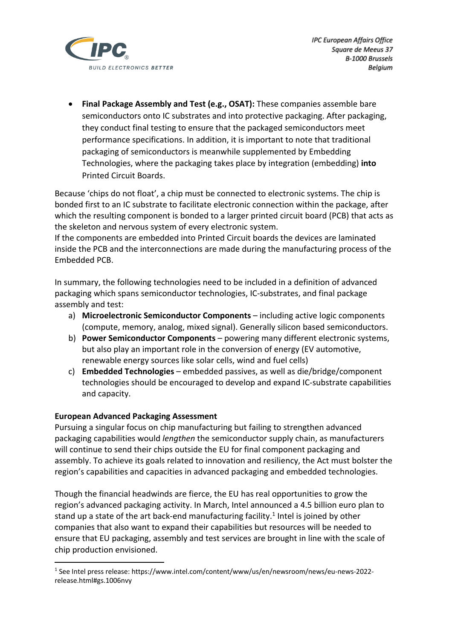

• **Final Package Assembly and Test (e.g., OSAT):** These companies assemble bare semiconductors onto IC substrates and into protective packaging. After packaging, they conduct final testing to ensure that the packaged semiconductors meet performance specifications. In addition, it is important to note that traditional packaging of semiconductors is meanwhile supplemented by Embedding Technologies, where the packaging takes place by integration (embedding) **into** Printed Circuit Boards.

Because 'chips do not float', a chip must be connected to electronic systems. The chip is bonded first to an IC substrate to facilitate electronic connection within the package, after which the resulting component is bonded to a larger printed circuit board (PCB) that acts as the skeleton and nervous system of every electronic system.

If the components are embedded into Printed Circuit boards the devices are laminated inside the PCB and the interconnections are made during the manufacturing process of the Embedded PCB.

In summary, the following technologies need to be included in a definition of advanced packaging which spans semiconductor technologies, IC-substrates, and final package assembly and test:

- a) **Microelectronic Semiconductor Components** including active logic components (compute, memory, analog, mixed signal). Generally silicon based semiconductors.
- b) **Power Semiconductor Components** powering many different electronic systems, but also play an important role in the conversion of energy (EV automotive, renewable energy sources like solar cells, wind and fuel cells)
- c) **Embedded Technologies** embedded passives, as well as die/bridge/component technologies should be encouraged to develop and expand IC-substrate capabilities and capacity.

#### **European Advanced Packaging Assessment**

Pursuing a singular focus on chip manufacturing but failing to strengthen advanced packaging capabilities would *lengthen* the semiconductor supply chain, as manufacturers will continue to send their chips outside the EU for final component packaging and assembly. To achieve its goals related to innovation and resiliency, the Act must bolster the region's capabilities and capacities in advanced packaging and embedded technologies.

Though the financial headwinds are fierce, the EU has real opportunities to grow the region's advanced packaging activity. In March, Intel announced a 4.5 billion euro plan to stand up a state of the art back-end manufacturing facility.<sup>1</sup> Intel is joined by other companies that also want to expand their capabilities but resources will be needed to ensure that EU packaging, assembly and test services are brought in line with the scale of chip production envisioned.

<sup>&</sup>lt;sup>1</sup> See Intel press release: https://www.intel.com/content/www/us/en/newsroom/news/eu-news-2022release.html#gs.1006nvy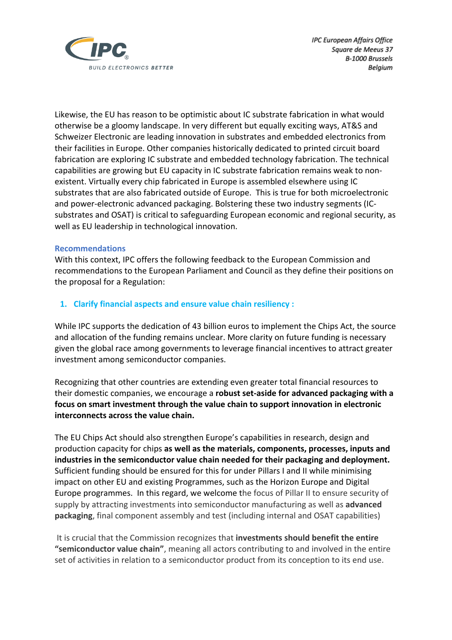

Likewise, the EU has reason to be optimistic about IC substrate fabrication in what would otherwise be a gloomy landscape. In very different but equally exciting ways, AT&S and Schweizer Electronic are leading innovation in substrates and embedded electronics from their facilities in Europe. Other companies historically dedicated to printed circuit board fabrication are exploring IC substrate and embedded technology fabrication. The technical capabilities are growing but EU capacity in IC substrate fabrication remains weak to nonexistent. Virtually every chip fabricated in Europe is assembled elsewhere using IC substrates that are also fabricated outside of Europe. This is true for both microelectronic and power-electronic advanced packaging. Bolstering these two industry segments (ICsubstrates and OSAT) is critical to safeguarding European economic and regional security, as well as EU leadership in technological innovation.

#### **Recommendations**

With this context, IPC offers the following feedback to the European Commission and recommendations to the European Parliament and Council as they define their positions on the proposal for a Regulation:

## **1. Clarify financial aspects and ensure value chain resiliency :**

While IPC supports the dedication of 43 billion euros to implement the Chips Act, the source and allocation of the funding remains unclear. More clarity on future funding is necessary given the global race among governments to leverage financial incentives to attract greater investment among semiconductor companies.

Recognizing that other countries are extending even greater total financial resources to their domestic companies, we encourage a **robust set-aside for advanced packaging with a focus on smart investment through the value chain to support innovation in electronic interconnects across the value chain.** 

The EU Chips Act should also strengthen Europe's capabilities in research, design and production capacity for chips **as well as the materials, components, processes, inputs and industries in the semiconductor value chain needed for their packaging and deployment.**  Sufficient funding should be ensured for this for under Pillars I and II while minimising impact on other EU and existing Programmes, such as the Horizon Europe and Digital Europe programmes. In this regard, we welcome the focus of Pillar II to ensure security of supply by attracting investments into semiconductor manufacturing as well as **advanced packaging**, final component assembly and test (including internal and OSAT capabilities)

It is crucial that the Commission recognizes that **investments should benefit the entire "semiconductor value chain"**, meaning all actors contributing to and involved in the entire set of activities in relation to a semiconductor product from its conception to its end use.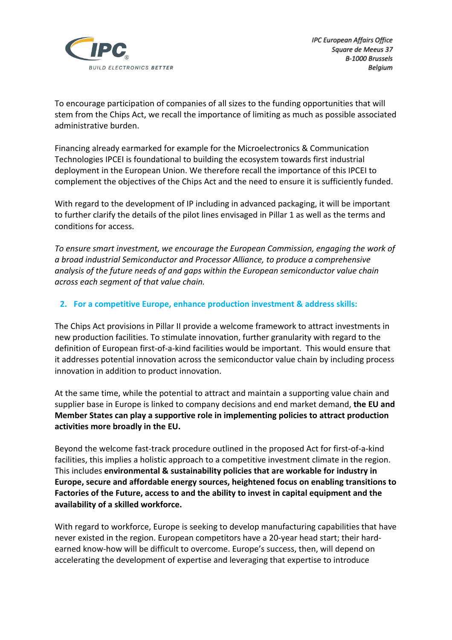

To encourage participation of companies of all sizes to the funding opportunities that will stem from the Chips Act, we recall the importance of limiting as much as possible associated administrative burden.

Financing already earmarked for example for the Microelectronics & Communication Technologies IPCEI is foundational to building the ecosystem towards first industrial deployment in the European Union. We therefore recall the importance of this IPCEI to complement the objectives of the Chips Act and the need to ensure it is sufficiently funded.

With regard to the development of IP including in advanced packaging, it will be important to further clarify the details of the pilot lines envisaged in Pillar 1 as well as the terms and conditions for access.

*To ensure smart investment, we encourage the European Commission, engaging the work of a broad industrial Semiconductor and Processor Alliance, to produce a comprehensive analysis of the future needs of and gaps within the European semiconductor value chain across each segment of that value chain.* 

## **2. For a competitive Europe, enhance production investment & address skills:**

The Chips Act provisions in Pillar II provide a welcome framework to attract investments in new production facilities. To stimulate innovation, further granularity with regard to the definition of European first-of-a-kind facilities would be important. This would ensure that it addresses potential innovation across the semiconductor value chain by including process innovation in addition to product innovation.

At the same time, while the potential to attract and maintain a supporting value chain and supplier base in Europe is linked to company decisions and end market demand, **the EU and Member States can play a supportive role in implementing policies to attract production activities more broadly in the EU.**

Beyond the welcome fast-track procedure outlined in the proposed Act for first-of-a-kind facilities, this implies a holistic approach to a competitive investment climate in the region. This includes **environmental & sustainability policies that are workable for industry in Europe, secure and affordable energy sources, heightened focus on enabling transitions to Factories of the Future, access to and the ability to invest in capital equipment and the availability of a skilled workforce.**

With regard to workforce, Europe is seeking to develop manufacturing capabilities that have never existed in the region. European competitors have a 20-year head start; their hardearned know-how will be difficult to overcome. Europe's success, then, will depend on accelerating the development of expertise and leveraging that expertise to introduce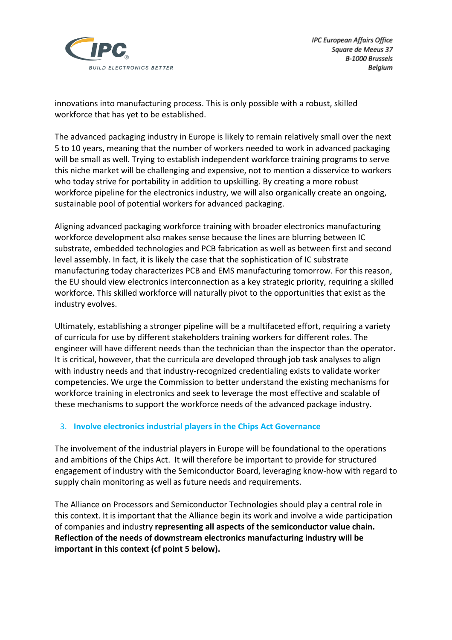

innovations into manufacturing process. This is only possible with a robust, skilled workforce that has yet to be established.

The advanced packaging industry in Europe is likely to remain relatively small over the next 5 to 10 years, meaning that the number of workers needed to work in advanced packaging will be small as well. Trying to establish independent workforce training programs to serve this niche market will be challenging and expensive, not to mention a disservice to workers who today strive for portability in addition to upskilling. By creating a more robust workforce pipeline for the electronics industry, we will also organically create an ongoing, sustainable pool of potential workers for advanced packaging.

Aligning advanced packaging workforce training with broader electronics manufacturing workforce development also makes sense because the lines are blurring between IC substrate, embedded technologies and PCB fabrication as well as between first and second level assembly. In fact, it is likely the case that the sophistication of IC substrate manufacturing today characterizes PCB and EMS manufacturing tomorrow. For this reason, the EU should view electronics interconnection as a key strategic priority, requiring a skilled workforce. This skilled workforce will naturally pivot to the opportunities that exist as the industry evolves.

Ultimately, establishing a stronger pipeline will be a multifaceted effort, requiring a variety of curricula for use by different stakeholders training workers for different roles. The engineer will have different needs than the technician than the inspector than the operator. It is critical, however, that the curricula are developed through job task analyses to align with industry needs and that industry-recognized credentialing exists to validate worker competencies. We urge the Commission to better understand the existing mechanisms for workforce training in electronics and seek to leverage the most effective and scalable of these mechanisms to support the workforce needs of the advanced package industry.

## 3. **Involve electronics industrial players in the Chips Act Governance**

The involvement of the industrial players in Europe will be foundational to the operations and ambitions of the Chips Act. It will therefore be important to provide for structured engagement of industry with the Semiconductor Board, leveraging know-how with regard to supply chain monitoring as well as future needs and requirements.

The Alliance on Processors and Semiconductor Technologies should play a central role in this context. It is important that the Alliance begin its work and involve a wide participation of companies and industry **representing all aspects of the semiconductor value chain. Reflection of the needs of downstream electronics manufacturing industry will be important in this context (cf point 5 below).**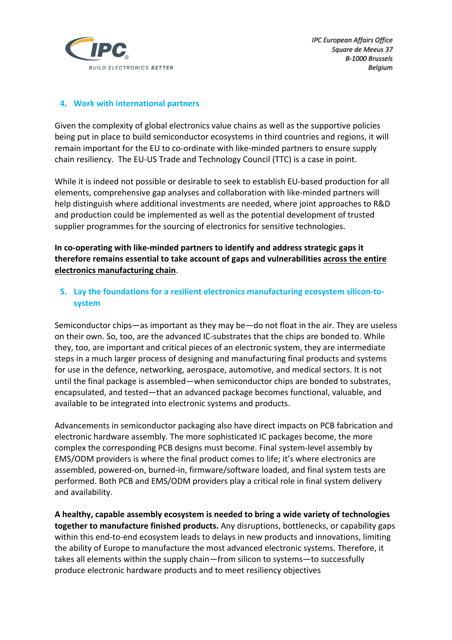

**IPC European Affairs Office** Square de Meeus 37 B-1000 Brussels Belgium

## **4. Work with international partners**

Given the complexity of global electronics value chains as well as the supportive policies being put in place to build semiconductor ecosystems in third countries and regions, it will remain important for the EU to co-ordinate with like-minded partners to ensure supply chain resiliency. The EU-US Trade and Technology Council (TTC) is a case in point.

While it is indeed not possible or desirable to seek to establish EU-based production for all elements, comprehensive gap analyses and collaboration with like-minded partners will help distinguish where additional investments are needed, where joint approaches to R&D and production could be implemented as well as the potential development of trusted supplier programmes for the sourcing of electronics for sensitive technologies.

**In co-operating with like-minded partners to identify and address strategic gaps it therefore remains essential to take account of gaps and vulnerabilities across the entire electronics manufacturing chain**.

# **5. Lay the foundations for a resilient electronics manufacturing ecosystem silicon-tosystem**

Semiconductor chips—as important as they may be—do not float in the air. They are useless on their own. So, too, are the advanced IC-substrates that the chips are bonded to. While they, too, are important and critical pieces of an electronic system, they are intermediate steps in a much larger process of designing and manufacturing final products and systems for use in the defence, networking, aerospace, automotive, and medical sectors. It is not until the final package is assembled—when semiconductor chips are bonded to substrates, encapsulated, and tested—that an advanced package becomes functional, valuable, and available to be integrated into electronic systems and products.

Advancements in semiconductor packaging also have direct impacts on PCB fabrication and electronic hardware assembly. The more sophisticated IC packages become, the more complex the corresponding PCB designs must become. Final system-level assembly by EMS/ODM providers is where the final product comes to life; it's where electronics are assembled, powered-on, burned-in, firmware/software loaded, and final system tests are performed. Both PCB and EMS/ODM providers play a critical role in final system delivery and availability.

**A healthy, capable assembly ecosystem is needed to bring a wide variety of technologies together to manufacture finished products.** Any disruptions, bottlenecks, or capability gaps within this end-to-end ecosystem leads to delays in new products and innovations, limiting the ability of Europe to manufacture the most advanced electronic systems. Therefore, it takes all elements within the supply chain—from silicon to systems—to successfully produce electronic hardware products and to meet resiliency objectives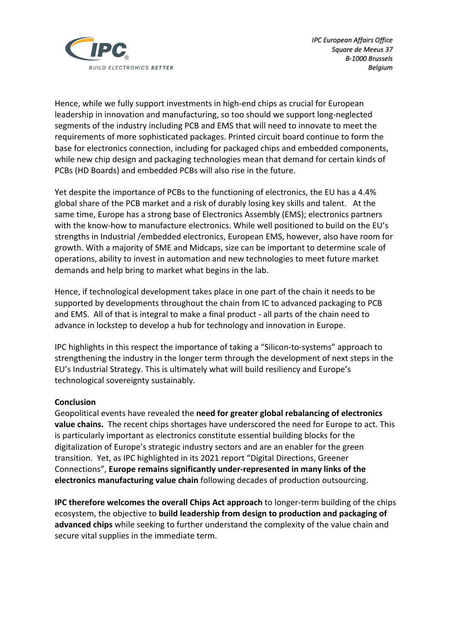

Hence, while we fully support investments in high-end chips as crucial for European leadership in innovation and manufacturing, so too should we support long-neglected segments of the industry including PCB and EMS that will need to innovate to meet the requirements of more sophisticated packages. Printed circuit board continue to form the base for electronics connection, including for packaged chips and embedded components, while new chip design and packaging technologies mean that demand for certain kinds of PCBs (HD Boards) and embedded PCBs will also rise in the future.

Yet despite the importance of PCBs to the functioning of electronics, the EU has a 4.4% global share of the PCB market and a risk of durably losing key skills and talent. At the same time, Europe has a strong base of Electronics Assembly (EMS); electronics partners with the know-how to manufacture electronics. While well positioned to build on the EU's strengths in Industrial /embedded electronics, European EMS, however, also have room for growth. With a majority of SME and Midcaps, size can be important to determine scale of operations, ability to invest in automation and new technologies to meet future market demands and help bring to market what begins in the lab.

Hence, if technological development takes place in one part of the chain it needs to be supported by developments throughout the chain from IC to advanced packaging to PCB and EMS. All of that is integral to make a final product - all parts of the chain need to advance in lockstep to develop a hub for technology and innovation in Europe.

IPC highlights in this respect the importance of taking a "Silicon-to-systems" approach to strengthening the industry in the longer term through the development of next steps in the EU's Industrial Strategy. This is ultimately what will build resiliency and Europe's technological sovereignty sustainably.

#### **Conclusion**

Geopolitical events have revealed the **need for greater global rebalancing of electronics value chains.** The recent chips shortages have underscored the need for Europe to act. This is particularly important as electronics constitute essential building blocks for the digitalization of Europe's strategic industry sectors and are an enabler for the green transition. Yet, as IPC highlighted in its 2021 report "Digital Directions, Greener Connections", **Europe remains significantly under-represented in many links of the electronics manufacturing value chain** following decades of production outsourcing.

**IPC therefore welcomes the overall Chips Act approach** to longer-term building of the chips ecosystem, the objective to **build leadership from design to production and packaging of advanced chips** while seeking to further understand the complexity of the value chain and secure vital supplies in the immediate term.